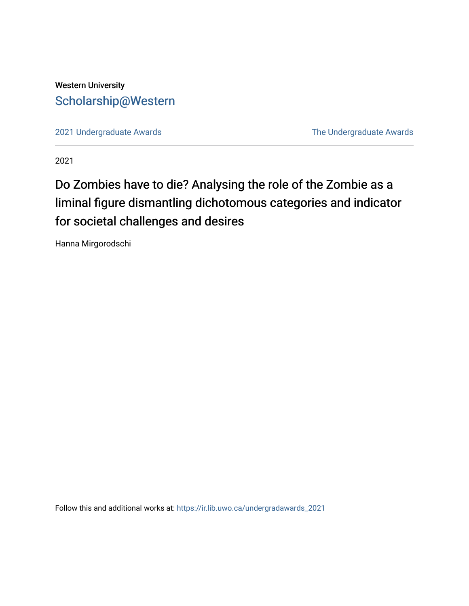### Western University [Scholarship@Western](https://ir.lib.uwo.ca/)

[2021 Undergraduate Awards](https://ir.lib.uwo.ca/undergradawards_2021) [The Undergraduate Awards](https://ir.lib.uwo.ca/ungradawards) 

2021

## Do Zombies have to die? Analysing the role of the Zombie as a liminal figure dismantling dichotomous categories and indicator for societal challenges and desires

Hanna Mirgorodschi

Follow this and additional works at: [https://ir.lib.uwo.ca/undergradawards\\_2021](https://ir.lib.uwo.ca/undergradawards_2021?utm_source=ir.lib.uwo.ca%2Fundergradawards_2021%2F10&utm_medium=PDF&utm_campaign=PDFCoverPages)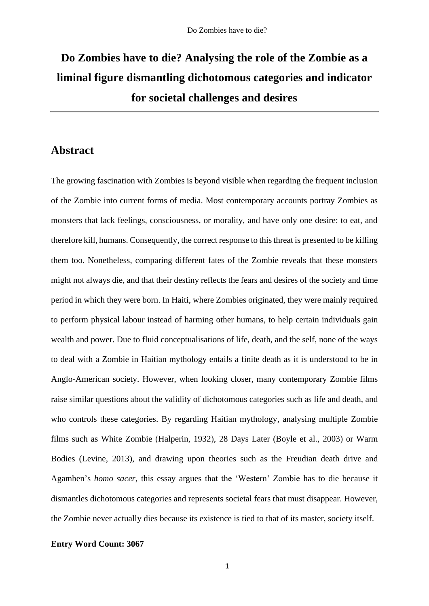# **Do Zombies have to die? Analysing the role of the Zombie as a liminal figure dismantling dichotomous categories and indicator for societal challenges and desires**

#### **Abstract**

The growing fascination with Zombies is beyond visible when regarding the frequent inclusion of the Zombie into current forms of media. Most contemporary accounts portray Zombies as monsters that lack feelings, consciousness, or morality, and have only one desire: to eat, and therefore kill, humans. Consequently, the correct response to this threat is presented to be killing them too. Nonetheless, comparing different fates of the Zombie reveals that these monsters might not always die, and that their destiny reflects the fears and desires of the society and time period in which they were born. In Haiti, where Zombies originated, they were mainly required to perform physical labour instead of harming other humans, to help certain individuals gain wealth and power. Due to fluid conceptualisations of life, death, and the self, none of the ways to deal with a Zombie in Haitian mythology entails a finite death as it is understood to be in Anglo-American society. However, when looking closer, many contemporary Zombie films raise similar questions about the validity of dichotomous categories such as life and death, and who controls these categories. By regarding Haitian mythology, analysing multiple Zombie films such as White Zombie (Halperin, 1932), 28 Days Later (Boyle et al., 2003) or Warm Bodies (Levine, 2013), and drawing upon theories such as the Freudian death drive and Agamben's *homo sacer*, this essay argues that the 'Western' Zombie has to die because it dismantles dichotomous categories and represents societal fears that must disappear. However, the Zombie never actually dies because its existence is tied to that of its master, society itself.

#### **Entry Word Count: 3067**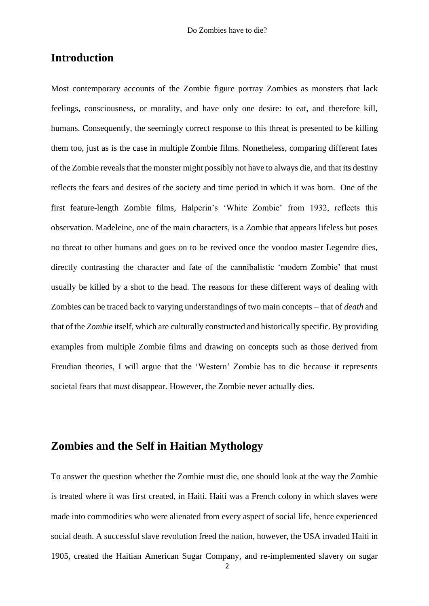#### **Introduction**

Most contemporary accounts of the Zombie figure portray Zombies as monsters that lack feelings, consciousness, or morality, and have only one desire: to eat, and therefore kill, humans. Consequently, the seemingly correct response to this threat is presented to be killing them too, just as is the case in multiple Zombie films. Nonetheless, comparing different fates of the Zombie reveals that the monster might possibly not have to always die, and that its destiny reflects the fears and desires of the society and time period in which it was born. One of the first feature-length Zombie films, Halperin's 'White Zombie' from 1932, reflects this observation. Madeleine, one of the main characters, is a Zombie that appears lifeless but poses no threat to other humans and goes on to be revived once the voodoo master Legendre dies, directly contrasting the character and fate of the cannibalistic 'modern Zombie' that must usually be killed by a shot to the head. The reasons for these different ways of dealing with Zombies can be traced back to varying understandings of two main concepts – that of *death* and that of the *Zombie* itself, which are culturally constructed and historically specific. By providing examples from multiple Zombie films and drawing on concepts such as those derived from Freudian theories, I will argue that the 'Western' Zombie has to die because it represents societal fears that *must* disappear. However, the Zombie never actually dies.

### **Zombies and the Self in Haitian Mythology**

To answer the question whether the Zombie must die, one should look at the way the Zombie is treated where it was first created, in Haiti. Haiti was a French colony in which slaves were made into commodities who were alienated from every aspect of social life, hence experienced social death. A successful slave revolution freed the nation, however, the USA invaded Haiti in 1905, created the Haitian American Sugar Company, and re-implemented slavery on sugar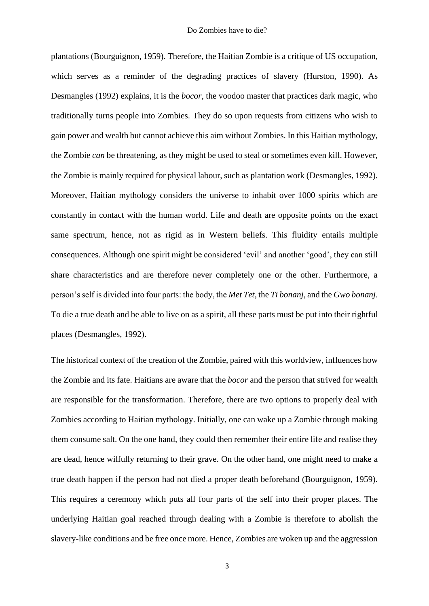plantations (Bourguignon, 1959). Therefore, the Haitian Zombie is a critique of US occupation, which serves as a reminder of the degrading practices of slavery (Hurston, 1990). As Desmangles (1992) explains, it is the *bocor*, the voodoo master that practices dark magic, who traditionally turns people into Zombies. They do so upon requests from citizens who wish to gain power and wealth but cannot achieve this aim without Zombies. In this Haitian mythology, the Zombie *can* be threatening, as they might be used to steal or sometimes even kill. However, the Zombie is mainly required for physical labour, such as plantation work (Desmangles, 1992). Moreover, Haitian mythology considers the universe to inhabit over 1000 spirits which are constantly in contact with the human world. Life and death are opposite points on the exact same spectrum, hence, not as rigid as in Western beliefs. This fluidity entails multiple consequences. Although one spirit might be considered 'evil' and another 'good', they can still share characteristics and are therefore never completely one or the other. Furthermore, a person's self is divided into four parts: the body, the *Met Tet*, the *Ti bonanj*, and the *Gwo bonanj*. To die a true death and be able to live on as a spirit, all these parts must be put into their rightful places (Desmangles, 1992).

The historical context of the creation of the Zombie, paired with this worldview, influences how the Zombie and its fate. Haitians are aware that the *bocor* and the person that strived for wealth are responsible for the transformation. Therefore, there are two options to properly deal with Zombies according to Haitian mythology. Initially, one can wake up a Zombie through making them consume salt. On the one hand, they could then remember their entire life and realise they are dead, hence wilfully returning to their grave. On the other hand, one might need to make a true death happen if the person had not died a proper death beforehand (Bourguignon, 1959). This requires a ceremony which puts all four parts of the self into their proper places. The underlying Haitian goal reached through dealing with a Zombie is therefore to abolish the slavery-like conditions and be free once more. Hence, Zombies are woken up and the aggression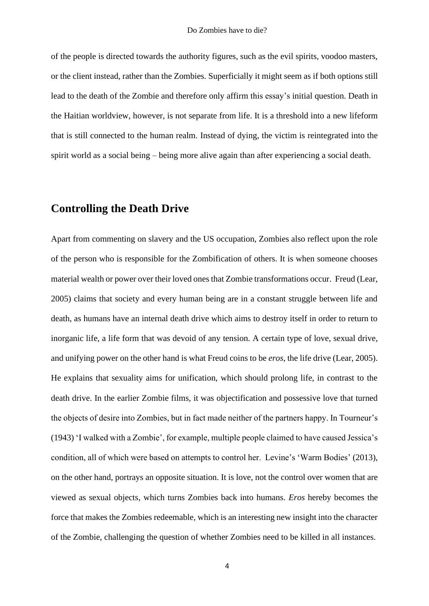of the people is directed towards the authority figures, such as the evil spirits, voodoo masters, or the client instead, rather than the Zombies. Superficially it might seem as if both options still lead to the death of the Zombie and therefore only affirm this essay's initial question. Death in the Haitian worldview, however, is not separate from life. It is a threshold into a new lifeform that is still connected to the human realm. Instead of dying, the victim is reintegrated into the spirit world as a social being – being more alive again than after experiencing a social death.

#### **Controlling the Death Drive**

Apart from commenting on slavery and the US occupation, Zombies also reflect upon the role of the person who is responsible for the Zombification of others. It is when someone chooses material wealth or power over their loved ones that Zombie transformations occur. Freud (Lear, 2005) claims that society and every human being are in a constant struggle between life and death, as humans have an internal death drive which aims to destroy itself in order to return to inorganic life, a life form that was devoid of any tension. A certain type of love, sexual drive, and unifying power on the other hand is what Freud coins to be *eros*, the life drive (Lear, 2005). He explains that sexuality aims for unification, which should prolong life, in contrast to the death drive. In the earlier Zombie films, it was objectification and possessive love that turned the objects of desire into Zombies, but in fact made neither of the partners happy. In Tourneur's (1943) 'I walked with a Zombie', for example, multiple people claimed to have caused Jessica's condition, all of which were based on attempts to control her. Levine's 'Warm Bodies' (2013), on the other hand, portrays an opposite situation. It is love, not the control over women that are viewed as sexual objects, which turns Zombies back into humans. *Eros* hereby becomes the force that makes the Zombies redeemable, which is an interesting new insight into the character of the Zombie, challenging the question of whether Zombies need to be killed in all instances.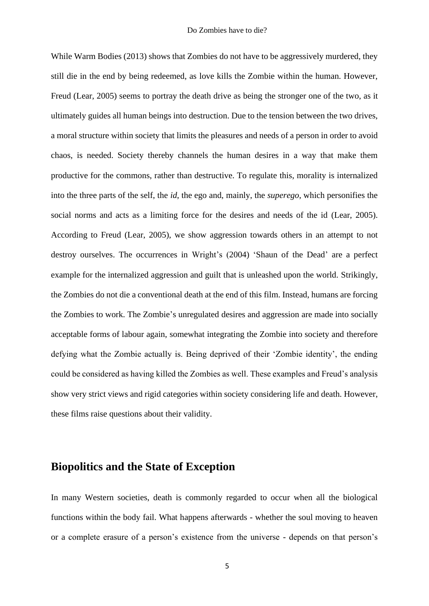While Warm Bodies (2013) shows that Zombies do not have to be aggressively murdered, they still die in the end by being redeemed, as love kills the Zombie within the human. However, Freud (Lear, 2005) seems to portray the death drive as being the stronger one of the two, as it ultimately guides all human beings into destruction. Due to the tension between the two drives, a moral structure within society that limits the pleasures and needs of a person in order to avoid chaos, is needed. Society thereby channels the human desires in a way that make them productive for the commons, rather than destructive. To regulate this, morality is internalized into the three parts of the self, the *id*, the ego and, mainly, the *superego*, which personifies the social norms and acts as a limiting force for the desires and needs of the id (Lear, 2005). According to Freud (Lear, 2005), we show aggression towards others in an attempt to not destroy ourselves. The occurrences in Wright's (2004) 'Shaun of the Dead' are a perfect example for the internalized aggression and guilt that is unleashed upon the world. Strikingly, the Zombies do not die a conventional death at the end of this film. Instead, humans are forcing the Zombies to work. The Zombie's unregulated desires and aggression are made into socially acceptable forms of labour again, somewhat integrating the Zombie into society and therefore defying what the Zombie actually is. Being deprived of their 'Zombie identity', the ending could be considered as having killed the Zombies as well. These examples and Freud's analysis show very strict views and rigid categories within society considering life and death. However, these films raise questions about their validity.

#### **Biopolitics and the State of Exception**

In many Western societies, death is commonly regarded to occur when all the biological functions within the body fail. What happens afterwards - whether the soul moving to heaven or a complete erasure of a person's existence from the universe - depends on that person's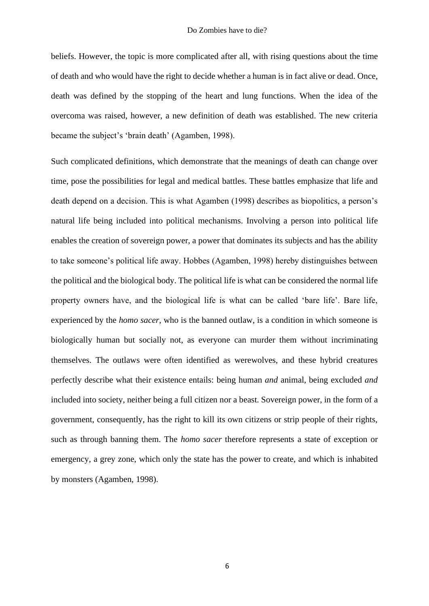beliefs. However, the topic is more complicated after all, with rising questions about the time of death and who would have the right to decide whether a human is in fact alive or dead. Once, death was defined by the stopping of the heart and lung functions. When the idea of the overcoma was raised, however, a new definition of death was established. The new criteria became the subject's 'brain death' (Agamben, 1998).

Such complicated definitions, which demonstrate that the meanings of death can change over time, pose the possibilities for legal and medical battles. These battles emphasize that life and death depend on a decision. This is what Agamben (1998) describes as biopolitics, a person's natural life being included into political mechanisms. Involving a person into political life enables the creation of sovereign power, a power that dominates its subjects and has the ability to take someone's political life away. Hobbes (Agamben, 1998) hereby distinguishes between the political and the biological body. The political life is what can be considered the normal life property owners have, and the biological life is what can be called 'bare life'. Bare life, experienced by the *homo sacer*, who is the banned outlaw, is a condition in which someone is biologically human but socially not, as everyone can murder them without incriminating themselves. The outlaws were often identified as werewolves, and these hybrid creatures perfectly describe what their existence entails: being human *and* animal, being excluded *and* included into society, neither being a full citizen nor a beast. Sovereign power, in the form of a government, consequently, has the right to kill its own citizens or strip people of their rights, such as through banning them. The *homo sacer* therefore represents a state of exception or emergency, a grey zone, which only the state has the power to create, and which is inhabited by monsters (Agamben, 1998).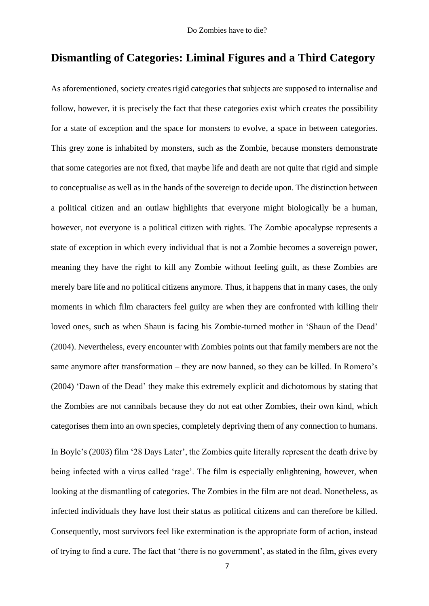#### **Dismantling of Categories: Liminal Figures and a Third Category**

As aforementioned, society creates rigid categories that subjects are supposed to internalise and follow, however, it is precisely the fact that these categories exist which creates the possibility for a state of exception and the space for monsters to evolve, a space in between categories. This grey zone is inhabited by monsters, such as the Zombie, because monsters demonstrate that some categories are not fixed, that maybe life and death are not quite that rigid and simple to conceptualise as well as in the hands of the sovereign to decide upon. The distinction between a political citizen and an outlaw highlights that everyone might biologically be a human, however, not everyone is a political citizen with rights. The Zombie apocalypse represents a state of exception in which every individual that is not a Zombie becomes a sovereign power, meaning they have the right to kill any Zombie without feeling guilt, as these Zombies are merely bare life and no political citizens anymore. Thus, it happens that in many cases, the only moments in which film characters feel guilty are when they are confronted with killing their loved ones, such as when Shaun is facing his Zombie-turned mother in 'Shaun of the Dead' (2004). Nevertheless, every encounter with Zombies points out that family members are not the same anymore after transformation – they are now banned, so they can be killed. In Romero's (2004) 'Dawn of the Dead' they make this extremely explicit and dichotomous by stating that the Zombies are not cannibals because they do not eat other Zombies, their own kind, which categorises them into an own species, completely depriving them of any connection to humans. In Boyle's (2003) film '28 Days Later', the Zombies quite literally represent the death drive by being infected with a virus called 'rage'. The film is especially enlightening, however, when looking at the dismantling of categories. The Zombies in the film are not dead. Nonetheless, as infected individuals they have lost their status as political citizens and can therefore be killed. Consequently, most survivors feel like extermination is the appropriate form of action, instead of trying to find a cure. The fact that 'there is no government', as stated in the film, gives every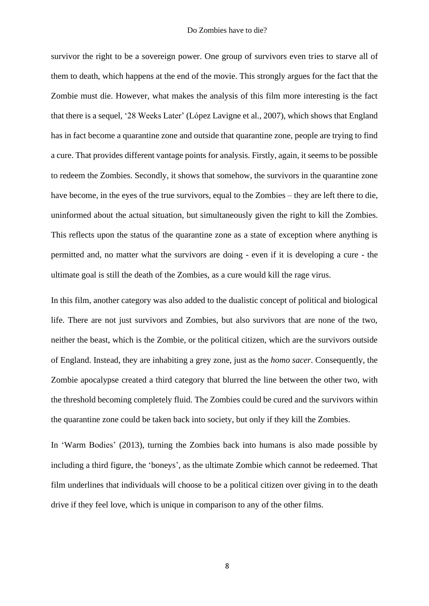survivor the right to be a sovereign power. One group of survivors even tries to starve all of them to death, which happens at the end of the movie. This strongly argues for the fact that the Zombie must die. However, what makes the analysis of this film more interesting is the fact that there is a sequel, '28 Weeks Later' (López Lavigne et al., 2007), which shows that England has in fact become a quarantine zone and outside that quarantine zone, people are trying to find a cure. That provides different vantage points for analysis. Firstly, again, it seems to be possible to redeem the Zombies. Secondly, it shows that somehow, the survivors in the quarantine zone have become, in the eyes of the true survivors, equal to the Zombies – they are left there to die, uninformed about the actual situation, but simultaneously given the right to kill the Zombies. This reflects upon the status of the quarantine zone as a state of exception where anything is permitted and, no matter what the survivors are doing - even if it is developing a cure - the ultimate goal is still the death of the Zombies, as a cure would kill the rage virus.

In this film, another category was also added to the dualistic concept of political and biological life. There are not just survivors and Zombies, but also survivors that are none of the two, neither the beast, which is the Zombie, or the political citizen, which are the survivors outside of England. Instead, they are inhabiting a grey zone, just as the *homo sacer*. Consequently, the Zombie apocalypse created a third category that blurred the line between the other two, with the threshold becoming completely fluid. The Zombies could be cured and the survivors within the quarantine zone could be taken back into society, but only if they kill the Zombies.

In 'Warm Bodies' (2013), turning the Zombies back into humans is also made possible by including a third figure, the 'boneys', as the ultimate Zombie which cannot be redeemed. That film underlines that individuals will choose to be a political citizen over giving in to the death drive if they feel love, which is unique in comparison to any of the other films.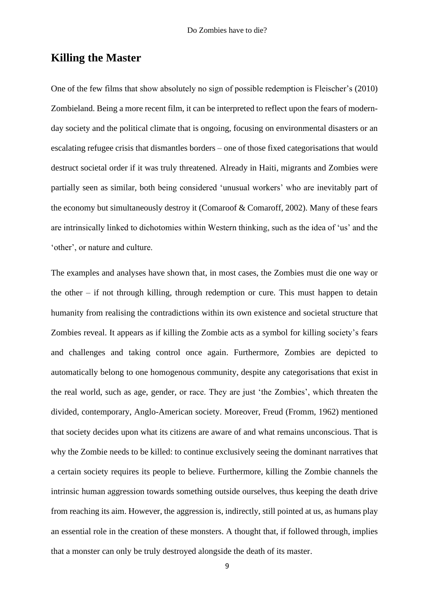#### **Killing the Master**

One of the few films that show absolutely no sign of possible redemption is Fleischer's (2010) Zombieland. Being a more recent film, it can be interpreted to reflect upon the fears of modernday society and the political climate that is ongoing, focusing on environmental disasters or an escalating refugee crisis that dismantles borders – one of those fixed categorisations that would destruct societal order if it was truly threatened. Already in Haiti, migrants and Zombies were partially seen as similar, both being considered 'unusual workers' who are inevitably part of the economy but simultaneously destroy it (Comaroof & Comaroff, 2002). Many of these fears are intrinsically linked to dichotomies within Western thinking, such as the idea of 'us' and the 'other', or nature and culture.

The examples and analyses have shown that, in most cases, the Zombies must die one way or the other – if not through killing, through redemption or cure. This must happen to detain humanity from realising the contradictions within its own existence and societal structure that Zombies reveal. It appears as if killing the Zombie acts as a symbol for killing society's fears and challenges and taking control once again. Furthermore, Zombies are depicted to automatically belong to one homogenous community, despite any categorisations that exist in the real world, such as age, gender, or race. They are just 'the Zombies', which threaten the divided, contemporary, Anglo-American society. Moreover, Freud (Fromm, 1962) mentioned that society decides upon what its citizens are aware of and what remains unconscious. That is why the Zombie needs to be killed: to continue exclusively seeing the dominant narratives that a certain society requires its people to believe. Furthermore, killing the Zombie channels the intrinsic human aggression towards something outside ourselves, thus keeping the death drive from reaching its aim. However, the aggression is, indirectly, still pointed at us, as humans play an essential role in the creation of these monsters. A thought that, if followed through, implies that a monster can only be truly destroyed alongside the death of its master.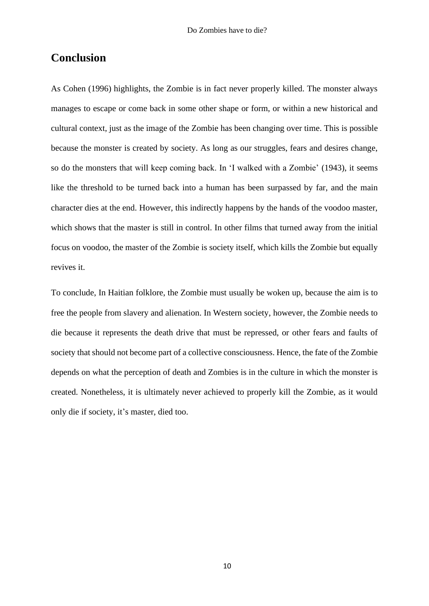#### **Conclusion**

As Cohen (1996) highlights, the Zombie is in fact never properly killed. The monster always manages to escape or come back in some other shape or form, or within a new historical and cultural context, just as the image of the Zombie has been changing over time. This is possible because the monster is created by society. As long as our struggles, fears and desires change, so do the monsters that will keep coming back. In 'I walked with a Zombie' (1943), it seems like the threshold to be turned back into a human has been surpassed by far, and the main character dies at the end. However, this indirectly happens by the hands of the voodoo master, which shows that the master is still in control. In other films that turned away from the initial focus on voodoo, the master of the Zombie is society itself, which kills the Zombie but equally revives it.

To conclude, In Haitian folklore, the Zombie must usually be woken up, because the aim is to free the people from slavery and alienation. In Western society, however, the Zombie needs to die because it represents the death drive that must be repressed, or other fears and faults of society that should not become part of a collective consciousness. Hence, the fate of the Zombie depends on what the perception of death and Zombies is in the culture in which the monster is created. Nonetheless, it is ultimately never achieved to properly kill the Zombie, as it would only die if society, it's master, died too.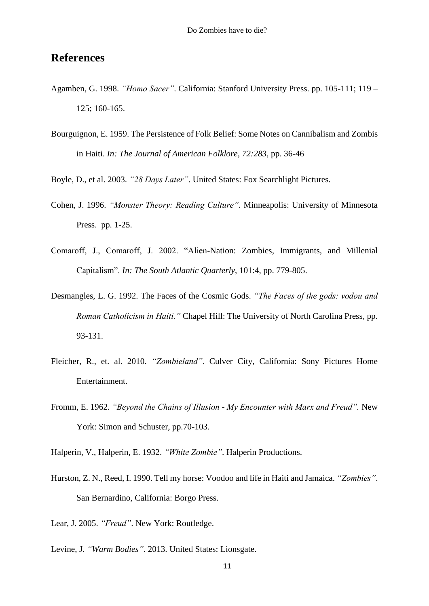#### **References**

- Agamben, G. 1998. *"Homo Sacer"*. California: Stanford University Press. pp. 105-111; 119 125; 160-165.
- Bourguignon, E. 1959. The Persistence of Folk Belief: Some Notes on Cannibalism and Zombis in Haiti. *In: The Journal of American Folklore, 72:283,* pp. 36-46
- Boyle, D., et al. 2003. *"28 Days Later"*. United States: Fox Searchlight Pictures.
- Cohen, J. 1996. *"Monster Theory: Reading Culture"*. Minneapolis: University of Minnesota Press. pp. 1-25.
- Comaroff, J., Comaroff, J. 2002. "Alien-Nation: Zombies, Immigrants, and Millenial Capitalism". *In: The South Atlantic Quarterly*, 101:4, pp. 779-805.
- Desmangles, L. G. 1992. The Faces of the Cosmic Gods. *"The Faces of the gods: vodou and Roman Catholicism in Haiti."* Chapel Hill: The University of North Carolina Press, pp. 93-131.
- Fleicher, R., et. al. 2010. *"Zombieland"*. Culver City, California: Sony Pictures Home Entertainment.
- Fromm, E. 1962. *"Beyond the Chains of Illusion - My Encounter with Marx and Freud".* New York: Simon and Schuster, pp.70-103.
- Halperin, V., Halperin, E. 1932. *"White Zombie"*. Halperin Productions.
- Hurston, Z. N., Reed, I. 1990. Tell my horse: Voodoo and life in Haiti and Jamaica. *"Zombies"*. San Bernardino, California: Borgo Press.
- Lear, J. 2005. *"Freud"*. New York: Routledge.
- Levine, J. *"Warm Bodies"*. 2013. United States: Lionsgate.